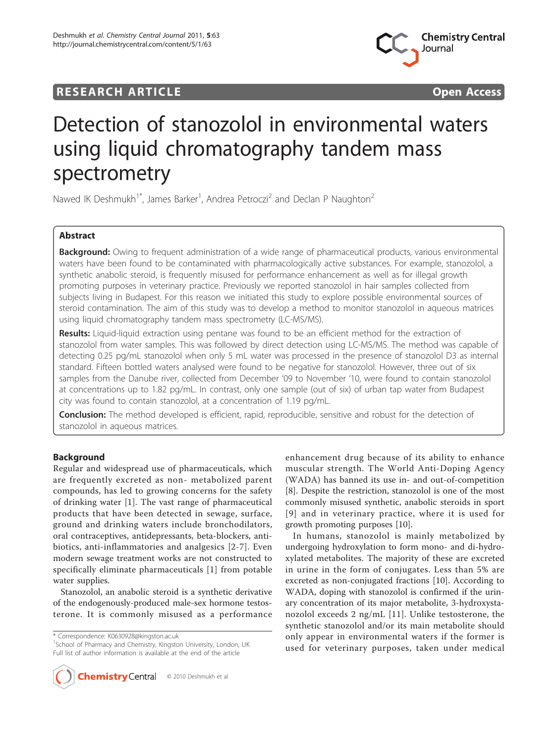# **RESEARCH ARTICLE CONSUMING ACCESS**



# Detection of stanozolol in environmental waters using liquid chromatography tandem mass spectrometry

Nawed IK Deshmukh<sup>1\*</sup>, James Barker<sup>1</sup>, Andrea Petroczi<sup>2</sup> and Declan P Naughton<sup>2</sup>

# Abstract

Background: Owing to frequent administration of a wide range of pharmaceutical products, various environmental waters have been found to be contaminated with pharmacologically active substances. For example, stanozolol, a synthetic anabolic steroid, is frequently misused for performance enhancement as well as for illegal growth promoting purposes in veterinary practice. Previously we reported stanozolol in hair samples collected from subjects living in Budapest. For this reason we initiated this study to explore possible environmental sources of steroid contamination. The aim of this study was to develop a method to monitor stanozolol in aqueous matrices using liquid chromatography tandem mass spectrometry (LC-MS/MS).

Results: Liquid-liquid extraction using pentane was found to be an efficient method for the extraction of stanozolol from water samples. This was followed by direct detection using LC-MS/MS. The method was capable of detecting 0.25 pg/mL stanozolol when only 5 mL water was processed in the presence of stanozolol D3 as internal standard. Fifteen bottled waters analysed were found to be negative for stanozolol. However, three out of six samples from the Danube river, collected from December '09 to November '10, were found to contain stanozolol at concentrations up to 1.82 pg/mL. In contrast, only one sample (out of six) of urban tap water from Budapest city was found to contain stanozolol, at a concentration of 1.19 pg/mL.

**Conclusion:** The method developed is efficient, rapid, reproducible, sensitive and robust for the detection of stanozolol in aqueous matrices.

# **Background**

Regular and widespread use of pharmaceuticals, which are frequently excreted as non- metabolized parent compounds, has led to growing concerns for the safety of drinking water [\[1](#page-5-0)]. The vast range of pharmaceutical products that have been detected in sewage, surface, ground and drinking waters include bronchodilators, oral contraceptives, antidepressants, beta-blockers, antibiotics, anti-inflammatories and analgesics [[2-7\]](#page-6-0). Even modern sewage treatment works are not constructed to specifically eliminate pharmaceuticals [[1](#page-5-0)] from potable water supplies.

Stanozolol, an anabolic steroid is a synthetic derivative of the endogenously-produced male-sex hormone testosterone. It is commonly misused as a performance

\* Correspondence: [K0630928@kingston.ac.uk](mailto:K0630928@kingston.ac.uk)

<sup>1</sup>School of Pharmacy and Chemistry, Kingston University, London, UK Full list of author information is available at the end of the article



enhancement drug because of its ability to enhance muscular strength. The World Anti-Doping Agency (WADA) has banned its use in- and out-of-competition [[8\]](#page-6-0). Despite the restriction, stanozolol is one of the most commonly misused synthetic, anabolic steroids in sport [[9\]](#page-6-0) and in veterinary practice, where it is used for growth promoting purposes [[10](#page-6-0)].

In humans, stanozolol is mainly metabolized by undergoing hydroxylation to form mono- and di-hydroxylated metabolites. The majority of these are excreted in urine in the form of conjugates. Less than 5% are excreted as non-conjugated fractions [\[10](#page-6-0)]. According to WADA, doping with stanozolol is confirmed if the urinary concentration of its major metabolite, 3-hydroxystanozolol exceeds 2 ng/mL [\[11](#page-6-0)]. Unlike testosterone, the synthetic stanozolol and/or its main metabolite should only appear in environmental waters if the former is used for veterinary purposes, taken under medical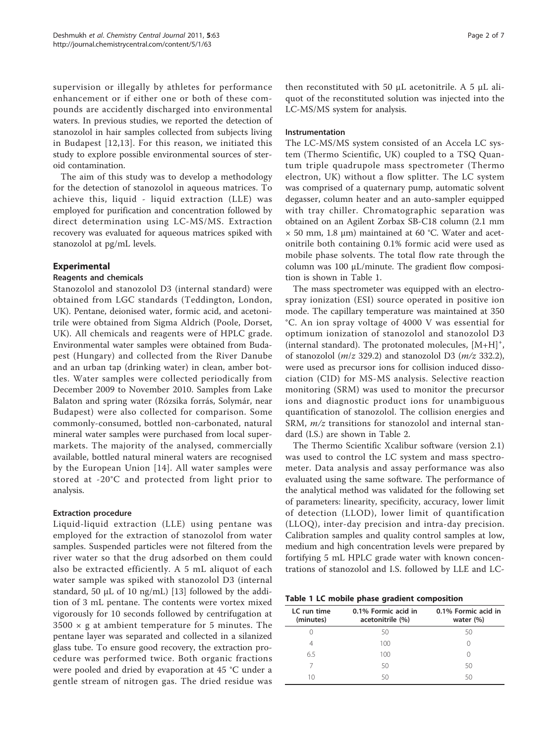supervision or illegally by athletes for performance enhancement or if either one or both of these compounds are accidently discharged into environmental waters. In previous studies, we reported the detection of stanozolol in hair samples collected from subjects living in Budapest [[12,13](#page-6-0)]. For this reason, we initiated this study to explore possible environmental sources of steroid contamination.

The aim of this study was to develop a methodology for the detection of stanozolol in aqueous matrices. To achieve this, liquid - liquid extraction (LLE) was employed for purification and concentration followed by direct determination using LC-MS/MS. Extraction recovery was evaluated for aqueous matrices spiked with stanozolol at pg/mL levels.

# Experimental

## Reagents and chemicals

Stanozolol and stanozolol D3 (internal standard) were obtained from LGC standards (Teddington, London, UK). Pentane, deionised water, formic acid, and acetonitrile were obtained from Sigma Aldrich (Poole, Dorset, UK). All chemicals and reagents were of HPLC grade. Environmental water samples were obtained from Budapest (Hungary) and collected from the River Danube and an urban tap (drinking water) in clean, amber bottles. Water samples were collected periodically from December 2009 to November 2010. Samples from Lake Balaton and spring water (Rózsika forrás, Solymár, near Budapest) were also collected for comparison. Some commonly-consumed, bottled non-carbonated, natural mineral water samples were purchased from local supermarkets. The majority of the analysed, commercially available, bottled natural mineral waters are recognised by the European Union [[14](#page-6-0)]. All water samples were stored at -20°C and protected from light prior to analysis.

#### Extraction procedure

Liquid-liquid extraction (LLE) using pentane was employed for the extraction of stanozolol from water samples. Suspended particles were not filtered from the river water so that the drug adsorbed on them could also be extracted efficiently. A 5 mL aliquot of each water sample was spiked with stanozolol D3 (internal standard, 50  $\mu$ L of 10 ng/mL) [\[13\]](#page-6-0) followed by the addition of 3 mL pentane. The contents were vortex mixed vigorously for 10 seconds followed by centrifugation at  $3500 \times g$  at ambient temperature for 5 minutes. The pentane layer was separated and collected in a silanized glass tube. To ensure good recovery, the extraction procedure was performed twice. Both organic fractions were pooled and dried by evaporation at 45 °C under a gentle stream of nitrogen gas. The dried residue was

then reconstituted with 50 μL acetonitrile. A 5 μL aliquot of the reconstituted solution was injected into the LC-MS/MS system for analysis.

#### Instrumentation

The LC-MS/MS system consisted of an Accela LC system (Thermo Scientific, UK) coupled to a TSQ Quantum triple quadrupole mass spectrometer (Thermo electron, UK) without a flow splitter. The LC system was comprised of a quaternary pump, automatic solvent degasser, column heater and an auto-sampler equipped with tray chiller. Chromatographic separation was obtained on an Agilent Zorbax SB-C18 column (2.1 mm  $\times$  50 mm, 1.8 µm) maintained at 60 °C. Water and acetonitrile both containing 0.1% formic acid were used as mobile phase solvents. The total flow rate through the column was 100 μL/minute. The gradient flow composition is shown in Table 1.

The mass spectrometer was equipped with an electrospray ionization (ESI) source operated in positive ion mode. The capillary temperature was maintained at 350 °C. An ion spray voltage of 4000 V was essential for optimum ionization of stanozolol and stanozolol D3 (internal standard). The protonated molecules,  $[M+H]$ <sup>+</sup>, of stanozolol ( $m/z$  329.2) and stanozolol D3 ( $m/z$  332.2), were used as precursor ions for collision induced dissociation (CID) for MS-MS analysis. Selective reaction monitoring (SRM) was used to monitor the precursor ions and diagnostic product ions for unambiguous quantification of stanozolol. The collision energies and SRM,  $m/z$  transitions for stanozolol and internal standard (I.S.) are shown in Table [2.](#page-2-0)

The Thermo Scientific Xcalibur software (version 2.1) was used to control the LC system and mass spectrometer. Data analysis and assay performance was also evaluated using the same software. The performance of the analytical method was validated for the following set of parameters: linearity, specificity, accuracy, lower limit of detection (LLOD), lower limit of quantification (LLOQ), inter-day precision and intra-day precision. Calibration samples and quality control samples at low, medium and high concentration levels were prepared by fortifying 5 mL HPLC grade water with known concentrations of stanozolol and I.S. followed by LLE and LC-

| Table 1 LC mobile phase gradient composition |  |
|----------------------------------------------|--|
|----------------------------------------------|--|

| LC run time<br>(minutes) | 0.1% Formic acid in<br>acetonitrile (%) | 0.1% Formic acid in<br>water $(\% )$ |
|--------------------------|-----------------------------------------|--------------------------------------|
|                          | 50                                      | 50                                   |
| 4                        | 100                                     |                                      |
| 6.5                      | 100                                     |                                      |
|                          | 50                                      | 50                                   |
| 10                       | 50                                      | 50                                   |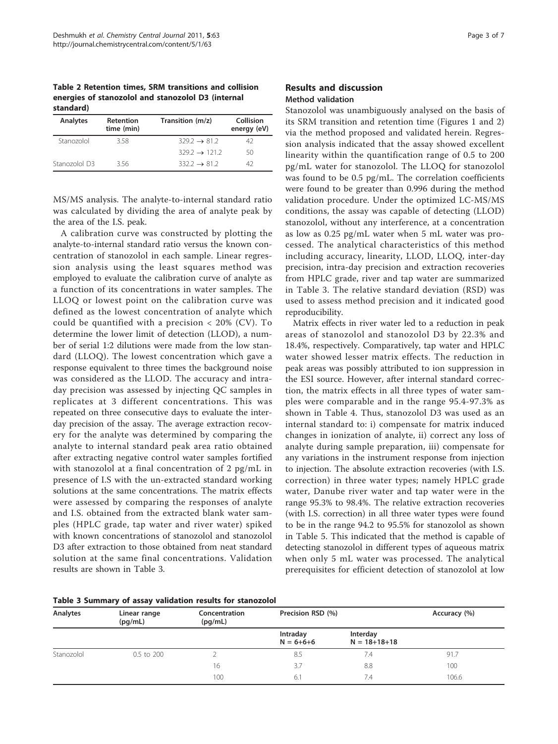<span id="page-2-0"></span>Table 2 Retention times, SRM transitions and collision energies of stanozolol and stanozolol D3 (internal standard)

| <b>Analytes</b> | <b>Retention</b><br>time (min) | Transition (m/z)          | Collision<br>energy (eV) |
|-----------------|--------------------------------|---------------------------|--------------------------|
| Stanozolol      | 358                            | $329.2 \rightarrow 81.2$  | 42                       |
|                 |                                | $329.2 \rightarrow 121.2$ | 50                       |
| Stanozolol D3   | 356                            | $332.2 \rightarrow 81.2$  | 47                       |

MS/MS analysis. The analyte-to-internal standard ratio was calculated by dividing the area of analyte peak by the area of the I.S. peak.

A calibration curve was constructed by plotting the analyte-to-internal standard ratio versus the known concentration of stanozolol in each sample. Linear regression analysis using the least squares method was employed to evaluate the calibration curve of analyte as a function of its concentrations in water samples. The LLOQ or lowest point on the calibration curve was defined as the lowest concentration of analyte which could be quantified with a precision < 20% (CV). To determine the lower limit of detection (LLOD), a number of serial 1:2 dilutions were made from the low standard (LLOQ). The lowest concentration which gave a response equivalent to three times the background noise was considered as the LLOD. The accuracy and intraday precision was assessed by injecting QC samples in replicates at 3 different concentrations. This was repeated on three consecutive days to evaluate the interday precision of the assay. The average extraction recovery for the analyte was determined by comparing the analyte to internal standard peak area ratio obtained after extracting negative control water samples fortified with stanozolol at a final concentration of 2 pg/mL in presence of I.S with the un-extracted standard working solutions at the same concentrations. The matrix effects were assessed by comparing the responses of analyte and I.S. obtained from the extracted blank water samples (HPLC grade, tap water and river water) spiked with known concentrations of stanozolol and stanozolol D3 after extraction to those obtained from neat standard solution at the same final concentrations. Validation results are shown in Table 3.

### Results and discussion Method validation

Stanozolol was unambiguously analysed on the basis of its SRM transition and retention time (Figures [1](#page-3-0) and [2](#page-4-0)) via the method proposed and validated herein. Regression analysis indicated that the assay showed excellent linearity within the quantification range of 0.5 to 200 pg/mL water for stanozolol. The LLOQ for stanozolol was found to be 0.5 pg/mL. The correlation coefficients were found to be greater than 0.996 during the method validation procedure. Under the optimized LC-MS/MS conditions, the assay was capable of detecting (LLOD) stanozolol, without any interference, at a concentration as low as 0.25 pg/mL water when 5 mL water was processed. The analytical characteristics of this method including accuracy, linearity, LLOD, LLOQ, inter-day precision, intra-day precision and extraction recoveries from HPLC grade, river and tap water are summarized in Table 3. The relative standard deviation (RSD) was used to assess method precision and it indicated good reproducibility.

Matrix effects in river water led to a reduction in peak areas of stanozolol and stanozolol D3 by 22.3% and 18.4%, respectively. Comparatively, tap water and HPLC water showed lesser matrix effects. The reduction in peak areas was possibly attributed to ion suppression in the ESI source. However, after internal standard correction, the matrix effects in all three types of water samples were comparable and in the range 95.4-97.3% as shown in Table [4](#page-4-0). Thus, stanozolol D3 was used as an internal standard to: i) compensate for matrix induced changes in ionization of analyte, ii) correct any loss of analyte during sample preparation, iii) compensate for any variations in the instrument response from injection to injection. The absolute extraction recoveries (with I.S. correction) in three water types; namely HPLC grade water, Danube river water and tap water were in the range 95.3% to 98.4%. The relative extraction recoveries (with I.S. correction) in all three water types were found to be in the range 94.2 to 95.5% for stanozolol as shown in Table [5.](#page-4-0) This indicated that the method is capable of detecting stanozolol in different types of aqueous matrix when only 5 mL water was processed. The analytical prerequisites for efficient detection of stanozolol at low

| Table 3 Summary of assay validation results for stanozolol |  |  |  |
|------------------------------------------------------------|--|--|--|
|------------------------------------------------------------|--|--|--|

| Analytes   | Linear range<br>(pq/mL) | Concentration<br>(pq/mL) | Precision RSD (%)           |                                | Accuracy (%) |  |  |
|------------|-------------------------|--------------------------|-----------------------------|--------------------------------|--------------|--|--|
|            |                         |                          | Intraday<br>$N = 6 + 6 + 6$ | Interday<br>$N = 18 + 18 + 18$ |              |  |  |
| Stanozolol | 0.5 to 200              |                          | 8.5                         | 7.4                            | 91.7         |  |  |
|            |                         | 16                       | 3.7                         | 8.8                            | 100          |  |  |
|            |                         | 100                      | 6.1                         | 7.4                            | 106.6        |  |  |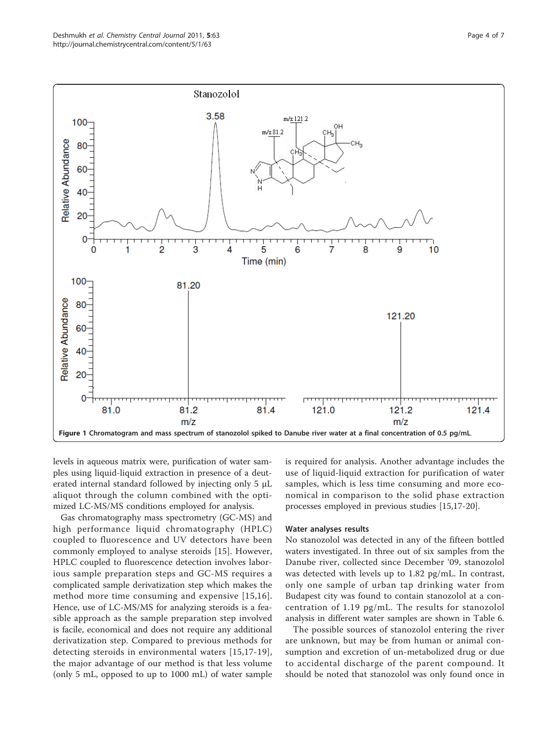<span id="page-3-0"></span>100

80

60

40

20

**Relative Abundance** 





levels in aqueous matrix were, purification of water samples using liquid-liquid extraction in presence of a deuterated internal standard followed by injecting only 5 μL aliquot through the column combined with the optimized LC-MS/MS conditions employed for analysis.

Gas chromatography mass spectrometry (GC-MS) and high performance liquid chromatography (HPLC) coupled to fluorescence and UV detectors have been commonly employed to analyse steroids [\[15](#page-6-0)]. However, HPLC coupled to fluorescence detection involves laborious sample preparation steps and GC-MS requires a complicated sample derivatization step which makes the method more time consuming and expensive [[15](#page-6-0),[16\]](#page-6-0). Hence, use of LC-MS/MS for analyzing steroids is a feasible approach as the sample preparation step involved is facile, economical and does not require any additional derivatization step. Compared to previous methods for detecting steroids in environmental waters [[15](#page-6-0),[17](#page-6-0)-[19](#page-6-0)], the major advantage of our method is that less volume (only 5 mL, opposed to up to 1000 mL) of water sample is required for analysis. Another advantage includes the use of liquid-liquid extraction for purification of water samples, which is less time consuming and more economical in comparison to the solid phase extraction processes employed in previous studies [\[15,17-20](#page-6-0)].

#### Water analyses results

No stanozolol was detected in any of the fifteen bottled waters investigated. In three out of six samples from the Danube river, collected since December '09, stanozolol was detected with levels up to 1.82 pg/mL. In contrast, only one sample of urban tap drinking water from Budapest city was found to contain stanozolol at a concentration of 1.19 pg/mL. The results for stanozolol analysis in different water samples are shown in Table [6](#page-5-0).

The possible sources of stanozolol entering the river are unknown, but may be from human or animal consumption and excretion of un-metabolized drug or due to accidental discharge of the parent compound. It should be noted that stanozolol was only found once in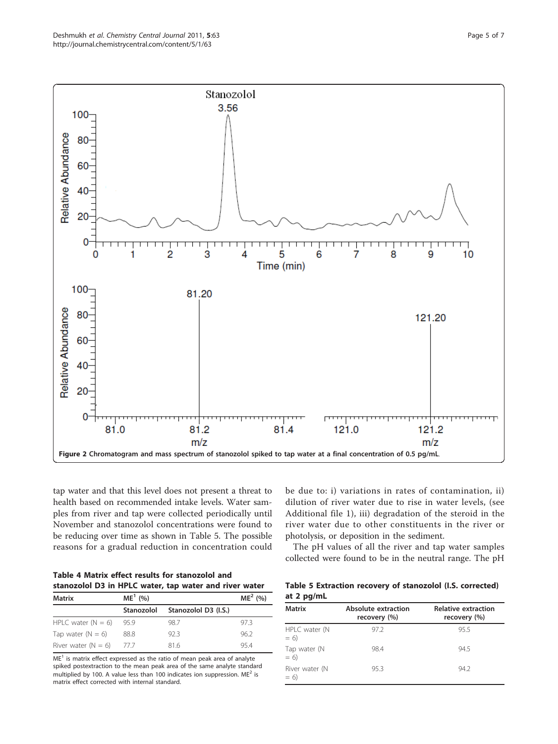<span id="page-4-0"></span>

tap water and that this level does not present a threat to health based on recommended intake levels. Water samples from river and tap were collected periodically until November and stanozolol concentrations were found to be reducing over time as shown in Table 5. The possible reasons for a gradual reduction in concentration could

| Table 4 Matrix effect results for stanozolol and |                                                        |
|--------------------------------------------------|--------------------------------------------------------|
|                                                  | stanozolol D3 in HPLC water, tap water and river water |

| <b>Matrix</b>         | $ME1$ (%)     |                                 | $ME2$ (%) |
|-----------------------|---------------|---------------------------------|-----------|
|                       |               | Stanozolol Stanozolol D3 (I.S.) |           |
| HPLC water $(N = 6)$  | 95.9          | 98.7                            | 97.3      |
| Tap water $(N = 6)$   | 88.8          | 92.3                            | 962       |
| River water $(N = 6)$ | $\frac{1}{1}$ | 816                             | 954       |

 $ME<sup>1</sup>$  is matrix effect expressed as the ratio of mean peak area of analyte spiked postextraction to the mean peak area of the same analyte standard multiplied by 100. A value less than 100 indicates ion suppression. ME2 is matrix effect corrected with internal standard.

be due to: i) variations in rates of contamination, ii) dilution of river water due to rise in water levels, (see Additional file [1\)](#page-5-0), iii) degradation of the steroid in the river water due to other constituents in the river or photolysis, or deposition in the sediment.

The pH values of all the river and tap water samples collected were found to be in the neutral range. The pH

| Table 5 Extraction recovery of stanozolol (I.S. corrected) |  |  |
|------------------------------------------------------------|--|--|
| at 2 pg/mL                                                 |  |  |

| <b>Matrix</b>           | Absolute extraction<br>recovery (%) | <b>Relative extraction</b><br>recovery (%) |
|-------------------------|-------------------------------------|--------------------------------------------|
| HPLC water (N<br>$= 6$  | 97.2                                | 95.5                                       |
| Tap water (N<br>$= 6$   | 98.4                                | 94.5                                       |
| River water (N<br>$= 6$ | 95.3                                | 94.2                                       |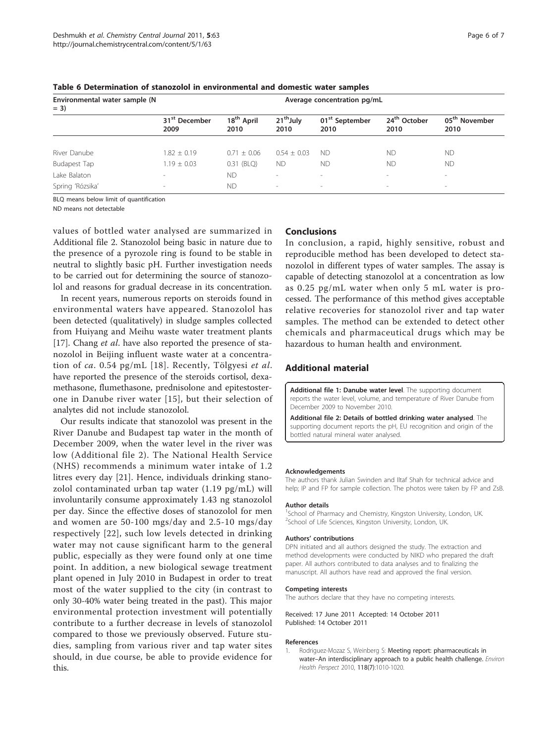| Environmental water sample (N<br>$= 3)$ | Average concentration pg/mL       |                                |                               |                                    |                                  |                                   |
|-----------------------------------------|-----------------------------------|--------------------------------|-------------------------------|------------------------------------|----------------------------------|-----------------------------------|
|                                         | 31 <sup>st</sup> December<br>2009 | 18 <sup>th</sup> April<br>2010 | 21 <sup>th</sup> July<br>2010 | 01 <sup>st</sup> September<br>2010 | 24 <sup>th</sup> October<br>2010 | 05 <sup>th</sup> November<br>2010 |
|                                         |                                   |                                |                               |                                    |                                  |                                   |
| River Danube                            | $1.82 \pm 0.19$                   | $0.71 \pm 0.06$                | $0.54 + 0.03$                 | ND.                                | <b>ND</b>                        | <b>ND</b>                         |
| <b>Budapest Tap</b>                     | $1.19 \pm 0.03$                   | 0.31 (BLQ)                     | <b>ND</b>                     | <b>ND</b>                          | <b>ND</b>                        | <b>ND</b>                         |
| Lake Balaton                            | $\overline{\phantom{a}}$          | <b>ND</b>                      | $\overline{\phantom{a}}$      | $\sim$                             | $\sim$                           | -                                 |
| Spring 'Rózsika'                        | $\overline{\phantom{a}}$          | <b>ND</b>                      | $\overline{\phantom{a}}$      | $\sim$                             | $\,$                             | $\sim$                            |

<span id="page-5-0"></span>Table 6 Determination of stanozolol in environmental and domestic water samples

BLQ means below limit of quantification

ND means not detectable

values of bottled water analysed are summarized in Additional file 2. Stanozolol being basic in nature due to the presence of a pyrozole ring is found to be stable in neutral to slightly basic pH. Further investigation needs to be carried out for determining the source of stanozolol and reasons for gradual decrease in its concentration.

In recent years, numerous reports on steroids found in environmental waters have appeared. Stanozolol has been detected (qualitatively) in sludge samples collected from Huiyang and Meihu waste water treatment plants [[17\]](#page-6-0). Chang et al. have also reported the presence of stanozolol in Beijing influent waste water at a concentration of ca. 0.54 pg/mL [[18\]](#page-6-0). Recently, Tölgyesi et al. have reported the presence of the steroids cortisol, dexamethasone, flumethasone, prednisolone and epitestosterone in Danube river water [[15](#page-6-0)], but their selection of analytes did not include stanozolol.

Our results indicate that stanozolol was present in the River Danube and Budapest tap water in the month of December 2009, when the water level in the river was low (Additional file 2). The National Health Service (NHS) recommends a minimum water intake of 1.2 litres every day [[21\]](#page-6-0). Hence, individuals drinking stanozolol contaminated urban tap water (1.19 pg/mL) will involuntarily consume approximately 1.43 ng stanozolol per day. Since the effective doses of stanozolol for men and women are 50-100 mgs/day and 2.5-10 mgs/day respectively [[22](#page-6-0)], such low levels detected in drinking water may not cause significant harm to the general public, especially as they were found only at one time point. In addition, a new biological sewage treatment plant opened in July 2010 in Budapest in order to treat most of the water supplied to the city (in contrast to only 30-40% water being treated in the past). This major environmental protection investment will potentially contribute to a further decrease in levels of stanozolol compared to those we previously observed. Future studies, sampling from various river and tap water sites should, in due course, be able to provide evidence for this.

# Conclusions

In conclusion, a rapid, highly sensitive, robust and reproducible method has been developed to detect stanozolol in different types of water samples. The assay is capable of detecting stanozolol at a concentration as low as 0.25 pg/mL water when only 5 mL water is processed. The performance of this method gives acceptable relative recoveries for stanozolol river and tap water samples. The method can be extended to detect other chemicals and pharmaceutical drugs which may be hazardous to human health and environment.

#### Additional material

[Additional file 1: D](http://www.biomedcentral.com/content/supplementary/1752-153X-5-63-S1.DOC)anube water level. The supporting document reports the water level, volume, and temperature of River Danube from December 2009 to November 2010.

[Additional file 2: D](http://www.biomedcentral.com/content/supplementary/1752-153X-5-63-S2.DOC)etails of bottled drinking water analysed. The supporting document reports the pH, EU recognition and origin of the bottled natural mineral water analysed.

#### Acknowledgements

The authors thank Julian Swinden and Iltaf Shah for technical advice and help; IP and FP for sample collection. The photos were taken by FP and ZsB.

#### Author details

<sup>1</sup>School of Pharmacy and Chemistry, Kingston University, London, UK. 2 School of Life Sciences, Kingston University, London, UK.

#### Authors' contributions

DPN initiated and all authors designed the study. The extraction and method developments were conducted by NIKD who prepared the draft paper. All authors contributed to data analyses and to finalizing the manuscript. All authors have read and approved the final version.

#### Competing interests

The authors declare that they have no competing interests.

Received: 17 June 2011 Accepted: 14 October 2011 Published: 14 October 2011

#### References

1. Rodriguez-Mozaz S, Weinberg S: [Meeting report: pharmaceuticals in](http://www.ncbi.nlm.nih.gov/pubmed/20363686?dopt=Abstract) water-[An interdisciplinary approach to a public health challenge.](http://www.ncbi.nlm.nih.gov/pubmed/20363686?dopt=Abstract) Environ Health Perspect 2010, 118(7):1010-1020.